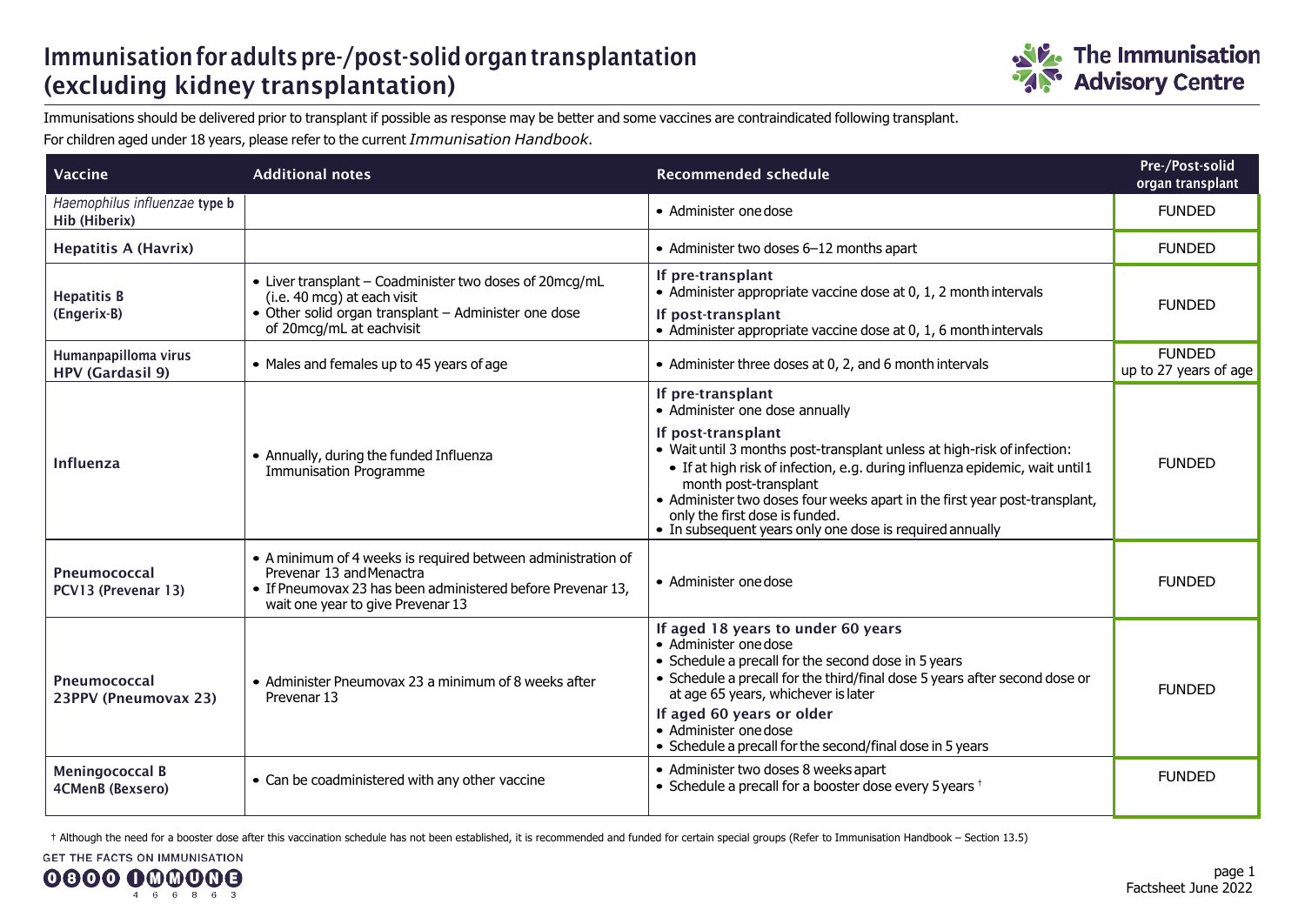## Immunisation for adults pre-/post-solid organ transplantation (excluding kidney transplantation)



Immunisations should be delivered prior to transplant if possible as response may be better and some vaccines are contraindicated following transplant. For children aged under 18 years, please refer to the current *Immunisation Handbook*.

| Vaccine                                         | <b>Additional notes</b>                                                                                                                                                                      | <b>Recommended schedule</b>                                                                                                                                                                                                                                                                                                                                                                                                               | Pre-/Post-solid<br>organ transplant    |
|-------------------------------------------------|----------------------------------------------------------------------------------------------------------------------------------------------------------------------------------------------|-------------------------------------------------------------------------------------------------------------------------------------------------------------------------------------------------------------------------------------------------------------------------------------------------------------------------------------------------------------------------------------------------------------------------------------------|----------------------------------------|
| Haemophilus influenzae type b<br>Hib (Hiberix)  |                                                                                                                                                                                              | • Administer one dose                                                                                                                                                                                                                                                                                                                                                                                                                     | <b>FUNDED</b>                          |
| <b>Hepatitis A (Havrix)</b>                     |                                                                                                                                                                                              | • Administer two doses 6-12 months apart                                                                                                                                                                                                                                                                                                                                                                                                  | <b>FUNDED</b>                          |
| <b>Hepatitis B</b><br>(Engerix-B)               | • Liver transplant - Coadminister two doses of 20mcg/mL<br>(i.e. 40 mcg) at each visit<br>• Other solid organ transplant - Administer one dose<br>of 20mcg/mL at eachvisit                   | If pre-transplant<br>• Administer appropriate vaccine dose at 0, 1, 2 month intervals<br>If post-transplant<br>• Administer appropriate vaccine dose at 0, 1, 6 month intervals                                                                                                                                                                                                                                                           | <b>FUNDED</b>                          |
| Humanpapilloma virus<br><b>HPV (Gardasil 9)</b> | • Males and females up to 45 years of age                                                                                                                                                    | • Administer three doses at 0, 2, and 6 month intervals                                                                                                                                                                                                                                                                                                                                                                                   | <b>FUNDED</b><br>up to 27 years of age |
| Influenza                                       | • Annually, during the funded Influenza<br><b>Immunisation Programme</b>                                                                                                                     | If pre-transplant<br>• Administer one dose annually<br>If post-transplant<br>• Wait until 3 months post-transplant unless at high-risk of infection:<br>• If at high risk of infection, e.g. during influenza epidemic, wait until 1<br>month post-transplant<br>• Administer two doses four weeks apart in the first year post-transplant,<br>only the first dose is funded.<br>• In subsequent years only one dose is required annually | <b>FUNDED</b>                          |
| Pneumococcal<br>PCV13 (Prevenar 13)             | • A minimum of 4 weeks is required between administration of<br>Prevenar 13 and Menactra<br>• If Pneumovax 23 has been administered before Prevenar 13,<br>wait one year to give Prevenar 13 | • Administer one dose                                                                                                                                                                                                                                                                                                                                                                                                                     | <b>FUNDED</b>                          |
| Pneumococcal<br>23PPV (Pneumovax 23)            | • Administer Pneumovax 23 a minimum of 8 weeks after<br>Prevenar 13                                                                                                                          | If aged 18 years to under 60 years<br>• Administer one dose<br>• Schedule a precall for the second dose in 5 years<br>• Schedule a precall for the third/final dose 5 years after second dose or<br>at age 65 years, whichever is later<br>If aged 60 years or older<br>• Administer one dose<br>• Schedule a precall for the second/final dose in 5 years                                                                                | <b>FUNDED</b>                          |
| <b>Meningococcal B</b><br>4CMenB (Bexsero)      | • Can be coadministered with any other vaccine                                                                                                                                               | • Administer two doses 8 weeks apart<br>• Schedule a precall for a booster dose every 5 years <sup>+</sup>                                                                                                                                                                                                                                                                                                                                | <b>FUNDED</b>                          |

† Although the need for a booster dose after this vaccination schedule has not been established, it is recommended and funded for certain special groups (Refer to Immunisation Handbook – Section 13.5)

**GET THE FACTS ON IMMUNISATION**